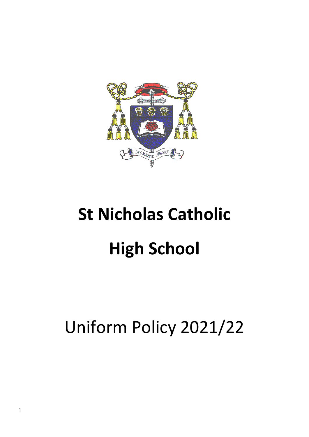

# **St Nicholas Catholic High School**

# Uniform Policy 2021/22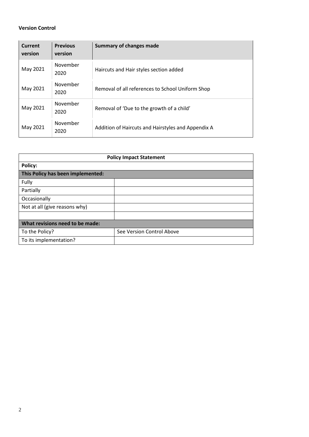# **Version Control**

| <b>Current</b><br>version | <b>Previous</b><br>version | Summary of changes made                            |
|---------------------------|----------------------------|----------------------------------------------------|
| May 2021                  | November<br>2020           | Haircuts and Hair styles section added             |
| May 2021                  | November<br>2020           | Removal of all references to School Uniform Shop   |
| May 2021                  | November<br>2020           | Removal of 'Due to the growth of a child'          |
| May 2021                  | November<br>2020           | Addition of Haircuts and Hairstyles and Appendix A |

| <b>Policy Impact Statement</b>    |                           |  |  |  |  |
|-----------------------------------|---------------------------|--|--|--|--|
| <b>Policy:</b>                    |                           |  |  |  |  |
| This Policy has been implemented: |                           |  |  |  |  |
| Fully                             |                           |  |  |  |  |
| Partially                         |                           |  |  |  |  |
| Occasionally                      |                           |  |  |  |  |
| Not at all (give reasons why)     |                           |  |  |  |  |
|                                   |                           |  |  |  |  |
| What revisions need to be made:   |                           |  |  |  |  |
| To the Policy?                    | See Version Control Above |  |  |  |  |
| To its implementation?            |                           |  |  |  |  |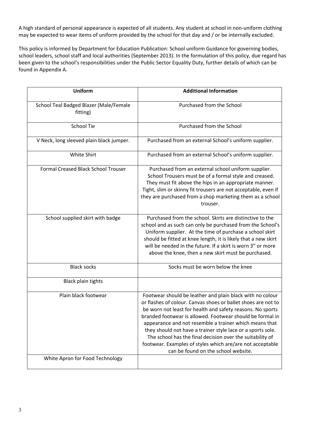A high standard of personal appearance is expected of all students. Any student at school in non-uniform clothing may be expected to wear items of uniform provided by the school for that day and / or be internally excluded.

This policy is informed by Department for Education Publication: School uniform Guidance for governing bodies, school leaders, school staff and local authorities (September 2013). In the formulation of this policy, due regard has been given to the school's responsibilities under the Public Sector Equality Duty, further details of which can be found in Appendix A.

| <b>Uniform</b>                                     | <b>Additional Information</b>                                                                                                                                                                                                                                                                                                                                                                                                                                                                                                                   |
|----------------------------------------------------|-------------------------------------------------------------------------------------------------------------------------------------------------------------------------------------------------------------------------------------------------------------------------------------------------------------------------------------------------------------------------------------------------------------------------------------------------------------------------------------------------------------------------------------------------|
| School Teal Badged Blazer (Male/Female<br>fitting) | Purchased from the School                                                                                                                                                                                                                                                                                                                                                                                                                                                                                                                       |
| <b>School Tie</b>                                  | Purchased from the School                                                                                                                                                                                                                                                                                                                                                                                                                                                                                                                       |
| V Neck, long sleeved plain black jumper.           | Purchased from an external School's uniform supplier.                                                                                                                                                                                                                                                                                                                                                                                                                                                                                           |
| White Shirt                                        | Purchased from an external School's uniform supplier.                                                                                                                                                                                                                                                                                                                                                                                                                                                                                           |
| Formal Creased Black School Trouser                | Purchased from an external school uniform supplier.<br>School Trousers must be of a formal style and creased.<br>They must fit above the hips in an appropriate manner.<br>Tight, slim or skinny fit trousers are not acceptable, even if<br>they are purchased from a shop marketing them as a school<br>trouser.                                                                                                                                                                                                                              |
| School supplied skirt with badge                   | Purchased from the school. Skirts are distinctive to the<br>school and as such can only be purchased from the School's<br>Uniform supplier. At the time of purchase a school skirt<br>should be fitted at knee length; it is likely that a new skirt<br>will be needed in the future. If a skirt is worn 3" or more<br>above the knee, then a new skirt must be purchased.                                                                                                                                                                      |
| <b>Black socks</b>                                 | Socks must be worn below the knee                                                                                                                                                                                                                                                                                                                                                                                                                                                                                                               |
| <b>Black plain tights</b>                          |                                                                                                                                                                                                                                                                                                                                                                                                                                                                                                                                                 |
| Plain black footwear                               | Footwear should be leather and plain black with no colour<br>or flashes of colour. Canvas shoes or ballet shoes are not to<br>be worn not least for health and safety reasons. No sports<br>branded footwear is allowed. Footwear should be formal in<br>appearance and not resemble a trainer which means that<br>they should not have a trainer style lace or a sports sole.<br>The school has the final decision over the suitability of<br>footwear. Examples of styles which are/are not acceptable<br>can be found on the school website. |
| White Apron for Food Technology                    |                                                                                                                                                                                                                                                                                                                                                                                                                                                                                                                                                 |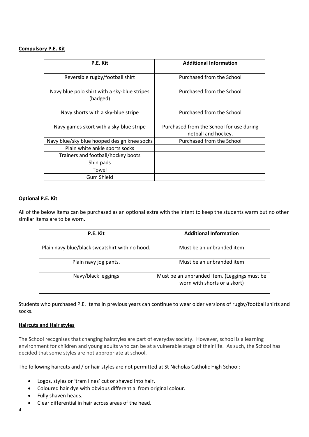#### **Compulsory P.E. Kit**

| P.E. Kit                                                 | <b>Additional Information</b>                                   |
|----------------------------------------------------------|-----------------------------------------------------------------|
| Reversible rugby/football shirt                          | Purchased from the School                                       |
| Navy blue polo shirt with a sky-blue stripes<br>(badged) | Purchased from the School                                       |
| Navy shorts with a sky-blue stripe                       | Purchased from the School                                       |
| Navy games skort with a sky-blue stripe                  | Purchased from the School for use during<br>netball and hockey. |
| Navy blue/sky blue hooped design knee socks              | Purchased from the School                                       |
| Plain white ankle sports socks                           |                                                                 |
| Trainers and football/hockey boots                       |                                                                 |
| Shin pads                                                |                                                                 |
| Towel                                                    |                                                                 |
| <b>Gum Shield</b>                                        |                                                                 |

#### **Optional P.E. Kit**

All of the below items can be purchased as an optional extra with the intent to keep the students warm but no other similar items are to be worn.

| P.E. Kit                                       | <b>Additional Information</b>                                                |
|------------------------------------------------|------------------------------------------------------------------------------|
| Plain navy blue/black sweatshirt with no hood. | Must be an unbranded item                                                    |
| Plain navy jog pants.                          | Must be an unbranded item                                                    |
| Navy/black leggings                            | Must be an unbranded item. (Leggings must be<br>worn with shorts or a skort) |

Students who purchased P.E. Items in previous years can continue to wear older versions of rugby/football shirts and socks.

#### **Haircuts and Hair styles**

The School recognises that changing hairstyles are part of everyday society. However, school is a learning environment for children and young adults who can be at a vulnerable stage of their life. As such, the School has decided that some styles are not appropriate at school.

The following haircuts and / or hair styles are not permitted at St Nicholas Catholic High School:

- Logos, styles or 'tram lines' cut or shaved into hair.
- Coloured hair dye with obvious differential from original colour.
- Fully shaven heads.
- Clear differential in hair across areas of the head.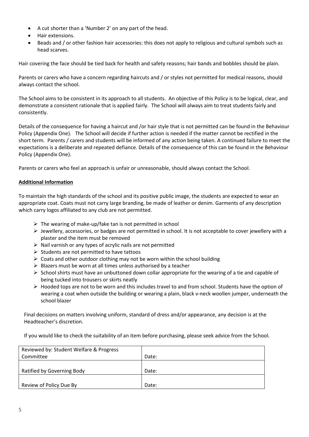- A cut shorter than a 'Number 2' on any part of the head.
- Hair extensions.
- Beads and / or other fashion hair accessories: this does not apply to religious and cultural symbols such as head scarves.

Hair covering the face should be tied back for health and safety reasons; hair bands and bobbles should be plain.

Parents or carers who have a concern regarding haircuts and / or styles not permitted for medical reasons, should always contact the school.

The School aims to be consistent in its approach to all students. An objective of this Policy is to be logical, clear, and demonstrate a consistent rationale that is applied fairly. The School will always aim to treat students fairly and consistently.

Details of the consequence for having a haircut and /or hair style that is not permitted can be found in the Behaviour Policy (Appendix One). The School will decide if further action is needed if the matter cannot be rectified in the short term. Parents / carers and students will be informed of any action being taken. A continued failure to meet the expectations is a deliberate and repeated defiance. Details of the consequence of this can be found in the Behaviour Policy (Appendix One).

Parents or carers who feel an approach is unfair or unreasonable, should always contact the School.

## **Additional Information**

To maintain the high standards of the school and its positive public image, the students are expected to wear an appropriate coat. Coats must not carry large branding, be made of leather or denim. Garments of any description which carry logos affiliated to any club are not permitted.

- $\triangleright$  The wearing of make-up/fake tan is not permitted in school
- $\triangleright$  Jewellery, accessories, or badges are not permitted in school. It is not acceptable to cover jewellery with a plaster and the item must be removed
- $\triangleright$  Nail varnish or any types of acrylic nails are not permitted
- ➢ Students are not permitted to have tattoos
- $\triangleright$  Coats and other outdoor clothing may not be worn within the school building
- $\triangleright$  Blazers must be worn at all times unless authorised by a teacher
- $\triangleright$  School shirts must have an unbuttoned down collar appropriate for the wearing of a tie and capable of being tucked into trousers or skirts neatly
- $\triangleright$  Hooded tops are not to be worn and this includes travel to and from school. Students have the option of wearing a coat when outside the building or wearing a plain, black v-neck woollen jumper, underneath the school blazer

Final decisions on matters involving uniform, standard of dress and/or appearance, any decision is at the Headteacher's discretion.

If you would like to check the suitability of an item before purchasing, please seek advice from the School.

| Reviewed by: Student Welfare & Progress |       |
|-----------------------------------------|-------|
| Committee                               | Date: |
|                                         |       |
| Ratified by Governing Body              | Date: |
|                                         |       |
| Review of Policy Due By                 | Date: |